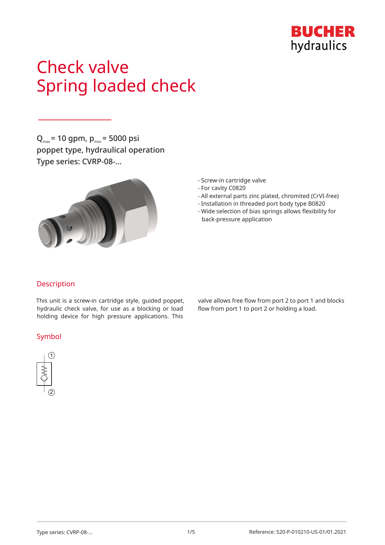

# Check valve Spring loaded check

 $Q_{\text{max}}$  = 10 gpm,  $p_{\text{max}}$  = 5000 psi poppet type, hydraulical operation Type series: CVRP-08-…



- Screw-in cartridge valve
- For cavity C0820
- All external parts zinc plated, chromited (CrVI-free)
- Installation in threaded port body type B0820
- Wide selection of bias springs allows flexibility for back-pressure application

## Description

This unit is a screw-in cartridge style, guided poppet, hydraulic check valve, for use as a blocking or load holding device for high pressure applications. This

### Symbol



valve allows free flow from port 2 to port 1 and blocks flow from port 1 to port 2 or holding a load.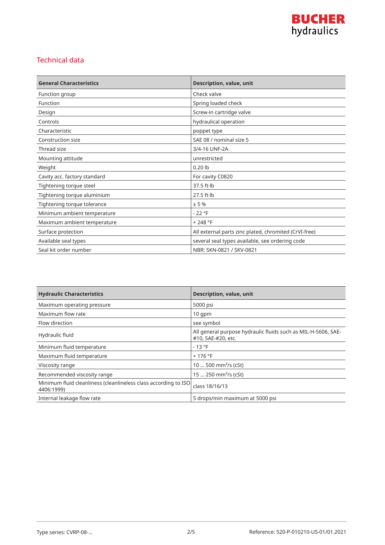

## Technical data

| <b>General Characteristics</b> | Description, value, unit                              |
|--------------------------------|-------------------------------------------------------|
| Function group                 | Check valve                                           |
| Function                       | Spring loaded check                                   |
| Design                         | Screw-in cartridge valve                              |
| Controls                       | hydraulical operation                                 |
| Characteristic                 | poppet type                                           |
| Construction size              | SAE 08 / nominal size 5                               |
| Thread size                    | 3/4-16 UNF-2A                                         |
| Mounting attitude              | unrestricted                                          |
| Weight                         | $0.20$ lb                                             |
| Cavity acc. factory standard   | For cavity C0820                                      |
| Tightening torque steel        | $37.5$ ft $\cdot$ lb                                  |
| Tightening torque aluminium    | $27.5$ ft $\cdot$ lb                                  |
| Tightening torque tolerance    | ± 5%                                                  |
| Minimum ambient temperature    | $-22$ °F                                              |
| Maximum ambient temperature    | $+248 °F$                                             |
| Surface protection             | All external parts zinc plated, chromited (CrVI-free) |
| Available seal types           | several seal types available, see ordering code       |
| Seal kit order number          | NBR: SKN-0821 / SKV-0821                              |

| <b>Hydraulic Characteristics</b>                                              | <b>Description, value, unit</b>                                                     |
|-------------------------------------------------------------------------------|-------------------------------------------------------------------------------------|
| Maximum operating pressure                                                    | 5000 psi                                                                            |
| Maximum flow rate                                                             | $10$ qpm                                                                            |
| Flow direction                                                                | see symbol                                                                          |
| Hydraulic fluid                                                               | All general purpose hydraulic fluids such as MIL-H-5606, SAE-<br>#10, SAE-#20, etc. |
| Minimum fluid temperature                                                     | $-13 °F$                                                                            |
| Maximum fluid temperature                                                     | $+176$ °F                                                                           |
| Viscosity range                                                               | 10  500 mm <sup>2</sup> /s (cSt)                                                    |
| Recommended viscosity range                                                   | 15  250 mm <sup>2</sup> /s (cSt)                                                    |
| Minimum fluid cleanliness (cleanlineless class according to ISO<br>4406:1999) | class 18/16/13                                                                      |
| Internal leakage flow rate                                                    | 5 drops/min maximum at 5000 psi                                                     |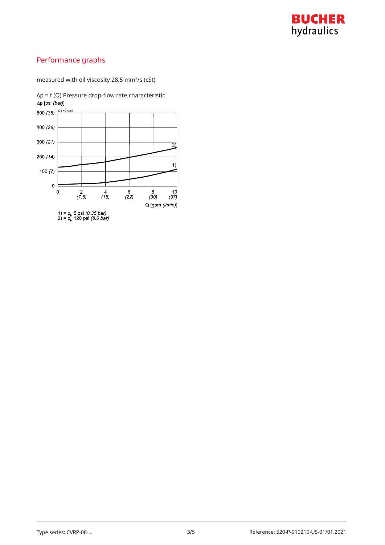

# Performance graphs

measured with oil viscosity 28.5 mm²/s (cSt)

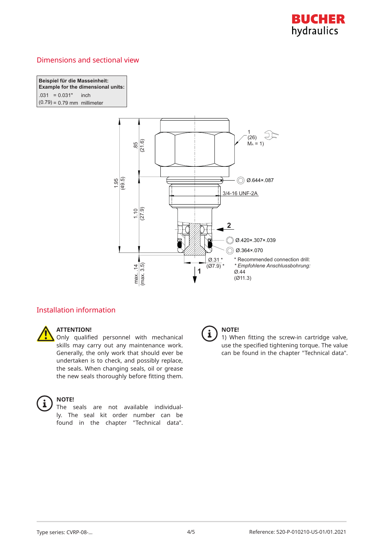

## Dimensions and sectional view

**Beispiel für die Masseinheit: Example for the dimensional units:**  $.031 = 0.031"$  inch I  $(0.79) = 0.79$  mm millimeter



## Installation information



#### **ATTENTION!**

Only qualified personnel with mechanical skills may carry out any maintenance work. Generally, the only work that should ever be undertaken is to check, and possibly replace, the seals. When changing seals, oil or grease the new seals thoroughly before fitting them.



#### **NOTE!**

The seals are not available individually. The seal kit order number can be found in the chapter "Technical data".



## **NOTE!**

1) When fitting the screw-in cartridge valve, use the specified tightening torque. The value can be found in the chapter "Technical data".